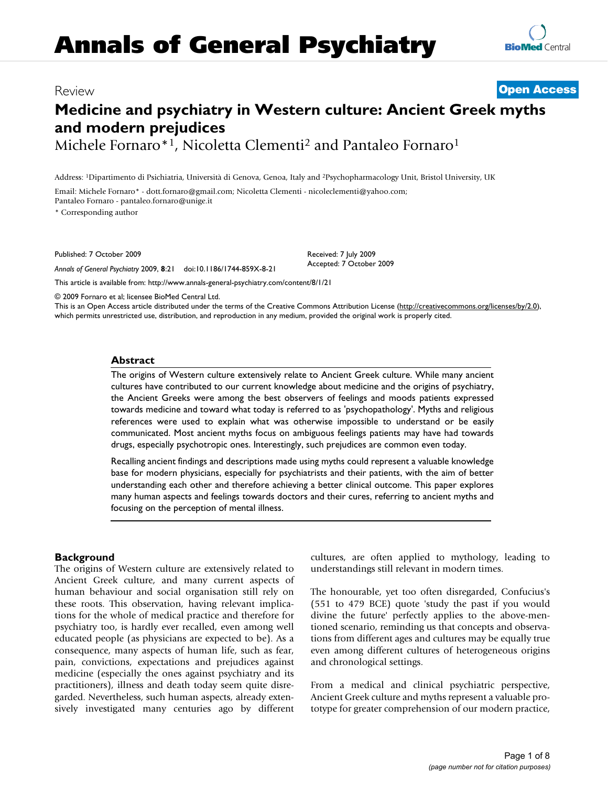# **Annals of General Psychiatry**

### Review **[Open Access](http://www.biomedcentral.com/info/about/charter/)**

## **Medicine and psychiatry in Western culture: Ancient Greek myths and modern prejudices**

Michele Fornaro\*1, Nicoletta Clementi2 and Pantaleo Fornaro1

Email: Michele Fornaro\* - dott.fornaro@gmail.com; Nicoletta Clementi - nicoleclementi@yahoo.com; Pantaleo Fornaro - pantaleo.fornaro@unige.it

\* Corresponding author

Published: 7 October 2009

*Annals of General Psychiatry* 2009, **8**:21 doi:10.1186/1744-859X-8-21

[This article is available from: http://www.annals-general-psychiatry.com/content/8/1/21](http://www.annals-general-psychiatry.com/content/8/1/21)

© 2009 Fornaro et al; licensee BioMed Central Ltd.

This is an Open Access article distributed under the terms of the Creative Commons Attribution License [\(http://creativecommons.org/licenses/by/2.0\)](http://creativecommons.org/licenses/by/2.0), which permits unrestricted use, distribution, and reproduction in any medium, provided the original work is properly cited.

Received: 7 July 2009 Accepted: 7 October 2009

#### **Abstract**

The origins of Western culture extensively relate to Ancient Greek culture. While many ancient cultures have contributed to our current knowledge about medicine and the origins of psychiatry, the Ancient Greeks were among the best observers of feelings and moods patients expressed towards medicine and toward what today is referred to as 'psychopathology'. Myths and religious references were used to explain what was otherwise impossible to understand or be easily communicated. Most ancient myths focus on ambiguous feelings patients may have had towards drugs, especially psychotropic ones. Interestingly, such prejudices are common even today.

Recalling ancient findings and descriptions made using myths could represent a valuable knowledge base for modern physicians, especially for psychiatrists and their patients, with the aim of better understanding each other and therefore achieving a better clinical outcome. This paper explores many human aspects and feelings towards doctors and their cures, referring to ancient myths and focusing on the perception of mental illness.

#### **Background**

The origins of Western culture are extensively related to Ancient Greek culture, and many current aspects of human behaviour and social organisation still rely on these roots. This observation, having relevant implications for the whole of medical practice and therefore for psychiatry too, is hardly ever recalled, even among well educated people (as physicians are expected to be). As a consequence, many aspects of human life, such as fear, pain, convictions, expectations and prejudices against medicine (especially the ones against psychiatry and its practitioners), illness and death today seem quite disregarded. Nevertheless, such human aspects, already extensively investigated many centuries ago by different cultures, are often applied to mythology, leading to understandings still relevant in modern times.

The honourable, yet too often disregarded, Confucius's (551 to 479 BCE) quote 'study the past if you would divine the future' perfectly applies to the above-mentioned scenario, reminding us that concepts and observations from different ages and cultures may be equally true even among different cultures of heterogeneous origins and chronological settings.

From a medical and clinical psychiatric perspective, Ancient Greek culture and myths represent a valuable prototype for greater comprehension of our modern practice,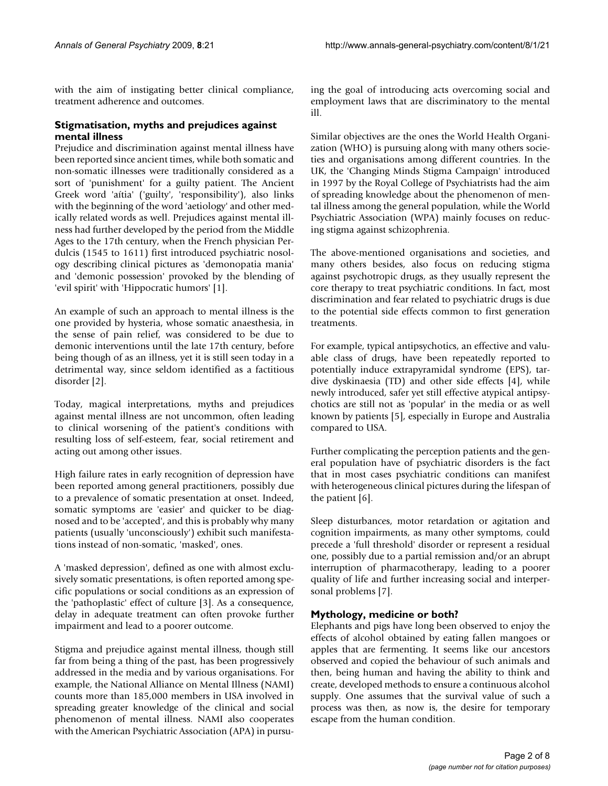with the aim of instigating better clinical compliance, treatment adherence and outcomes.

#### **Stigmatisation, myths and prejudices against mental illness**

Prejudice and discrimination against mental illness have been reported since ancient times, while both somatic and non-somatic illnesses were traditionally considered as a sort of 'punishment' for a guilty patient. The Ancient Greek word 'aítia' ('guilty', 'responsibility'), also links with the beginning of the word 'aetiology' and other medically related words as well. Prejudices against mental illness had further developed by the period from the Middle Ages to the 17th century, when the French physician Perdulcis (1545 to 1611) first introduced psychiatric nosology describing clinical pictures as 'demonopatia mania' and 'demonic possession' provoked by the blending of 'evil spirit' with 'Hippocratic humors' [1].

An example of such an approach to mental illness is the one provided by hysteria, whose somatic anaesthesia, in the sense of pain relief, was considered to be due to demonic interventions until the late 17th century, before being though of as an illness, yet it is still seen today in a detrimental way, since seldom identified as a factitious disorder [2].

Today, magical interpretations, myths and prejudices against mental illness are not uncommon, often leading to clinical worsening of the patient's conditions with resulting loss of self-esteem, fear, social retirement and acting out among other issues.

High failure rates in early recognition of depression have been reported among general practitioners, possibly due to a prevalence of somatic presentation at onset. Indeed, somatic symptoms are 'easier' and quicker to be diagnosed and to be 'accepted', and this is probably why many patients (usually 'unconsciously') exhibit such manifestations instead of non-somatic, 'masked', ones.

A 'masked depression', defined as one with almost exclusively somatic presentations, is often reported among specific populations or social conditions as an expression of the 'pathoplastic' effect of culture [3]. As a consequence, delay in adequate treatment can often provoke further impairment and lead to a poorer outcome.

Stigma and prejudice against mental illness, though still far from being a thing of the past, has been progressively addressed in the media and by various organisations. For example, the National Alliance on Mental Illness (NAMI) counts more than 185,000 members in USA involved in spreading greater knowledge of the clinical and social phenomenon of mental illness. NAMI also cooperates with the American Psychiatric Association (APA) in pursuing the goal of introducing acts overcoming social and employment laws that are discriminatory to the mental ill.

Similar objectives are the ones the World Health Organization (WHO) is pursuing along with many others societies and organisations among different countries. In the UK, the 'Changing Minds Stigma Campaign' introduced in 1997 by the Royal College of Psychiatrists had the aim of spreading knowledge about the phenomenon of mental illness among the general population, while the World Psychiatric Association (WPA) mainly focuses on reducing stigma against schizophrenia.

The above-mentioned organisations and societies, and many others besides, also focus on reducing stigma against psychotropic drugs, as they usually represent the core therapy to treat psychiatric conditions. In fact, most discrimination and fear related to psychiatric drugs is due to the potential side effects common to first generation treatments.

For example, typical antipsychotics, an effective and valuable class of drugs, have been repeatedly reported to potentially induce extrapyramidal syndrome (EPS), tardive dyskinaesia (TD) and other side effects [4], while newly introduced, safer yet still effective atypical antipsychotics are still not as 'popular' in the media or as well known by patients [5], especially in Europe and Australia compared to USA.

Further complicating the perception patients and the general population have of psychiatric disorders is the fact that in most cases psychiatric conditions can manifest with heterogeneous clinical pictures during the lifespan of the patient [6].

Sleep disturbances, motor retardation or agitation and cognition impairments, as many other symptoms, could precede a 'full threshold' disorder or represent a residual one, possibly due to a partial remission and/or an abrupt interruption of pharmacotherapy, leading to a poorer quality of life and further increasing social and interpersonal problems [7].

#### **Mythology, medicine or both?**

Elephants and pigs have long been observed to enjoy the effects of alcohol obtained by eating fallen mangoes or apples that are fermenting. It seems like our ancestors observed and copied the behaviour of such animals and then, being human and having the ability to think and create, developed methods to ensure a continuous alcohol supply. One assumes that the survival value of such a process was then, as now is, the desire for temporary escape from the human condition.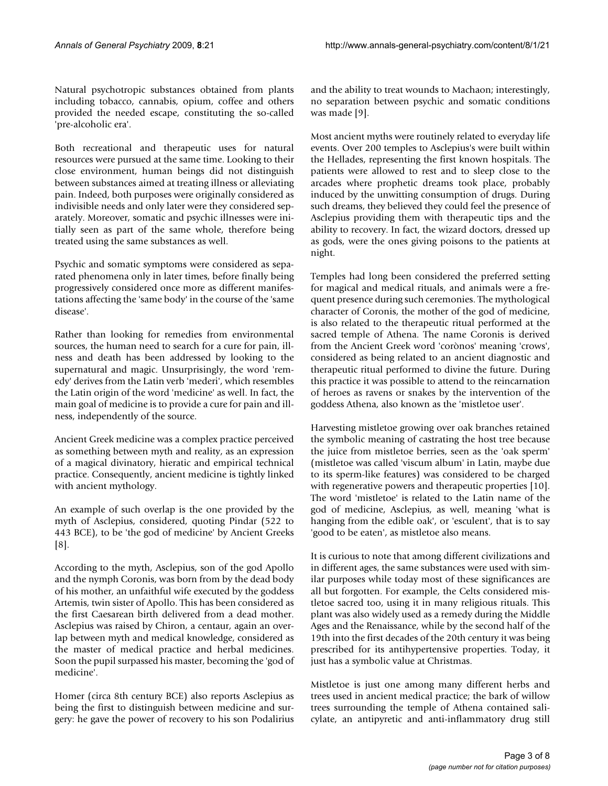Natural psychotropic substances obtained from plants including tobacco, cannabis, opium, coffee and others provided the needed escape, constituting the so-called 'pre-alcoholic era'.

Both recreational and therapeutic uses for natural resources were pursued at the same time. Looking to their close environment, human beings did not distinguish between substances aimed at treating illness or alleviating pain. Indeed, both purposes were originally considered as indivisible needs and only later were they considered separately. Moreover, somatic and psychic illnesses were initially seen as part of the same whole, therefore being treated using the same substances as well.

Psychic and somatic symptoms were considered as separated phenomena only in later times, before finally being progressively considered once more as different manifestations affecting the 'same body' in the course of the 'same disease'.

Rather than looking for remedies from environmental sources, the human need to search for a cure for pain, illness and death has been addressed by looking to the supernatural and magic. Unsurprisingly, the word 'remedy' derives from the Latin verb 'mederi', which resembles the Latin origin of the word 'medicine' as well. In fact, the main goal of medicine is to provide a cure for pain and illness, independently of the source.

Ancient Greek medicine was a complex practice perceived as something between myth and reality, as an expression of a magical divinatory, hieratic and empirical technical practice. Consequently, ancient medicine is tightly linked with ancient mythology.

An example of such overlap is the one provided by the myth of Asclepius, considered, quoting Pindar (522 to 443 BCE), to be 'the god of medicine' by Ancient Greeks [8].

According to the myth, Asclepius, son of the god Apollo and the nymph Coronis, was born from by the dead body of his mother, an unfaithful wife executed by the goddess Artemis, twin sister of Apollo. This has been considered as the first Caesarean birth delivered from a dead mother. Asclepius was raised by Chiron, a centaur, again an overlap between myth and medical knowledge, considered as the master of medical practice and herbal medicines. Soon the pupil surpassed his master, becoming the 'god of medicine'.

Homer (circa 8th century BCE) also reports Asclepius as being the first to distinguish between medicine and surgery: he gave the power of recovery to his son Podalirius and the ability to treat wounds to Machaon; interestingly, no separation between psychic and somatic conditions was made [9].

Most ancient myths were routinely related to everyday life events. Over 200 temples to Asclepius's were built within the Hellades, representing the first known hospitals. The patients were allowed to rest and to sleep close to the arcades where prophetic dreams took place, probably induced by the unwitting consumption of drugs. During such dreams, they believed they could feel the presence of Asclepius providing them with therapeutic tips and the ability to recovery. In fact, the wizard doctors, dressed up as gods, were the ones giving poisons to the patients at night.

Temples had long been considered the preferred setting for magical and medical rituals, and animals were a frequent presence during such ceremonies. The mythological character of Coronis, the mother of the god of medicine, is also related to the therapeutic ritual performed at the sacred temple of Athena. The name Coronis is derived from the Ancient Greek word 'corònos' meaning 'crows', considered as being related to an ancient diagnostic and therapeutic ritual performed to divine the future. During this practice it was possible to attend to the reincarnation of heroes as ravens or snakes by the intervention of the goddess Athena, also known as the 'mistletoe user'.

Harvesting mistletoe growing over oak branches retained the symbolic meaning of castrating the host tree because the juice from mistletoe berries, seen as the 'oak sperm' (mistletoe was called 'viscum album' in Latin, maybe due to its sperm-like features) was considered to be charged with regenerative powers and therapeutic properties [10]. The word 'mistletoe' is related to the Latin name of the god of medicine, Asclepius, as well, meaning 'what is hanging from the edible oak', or 'esculent', that is to say 'good to be eaten', as mistletoe also means.

It is curious to note that among different civilizations and in different ages, the same substances were used with similar purposes while today most of these significances are all but forgotten. For example, the Celts considered mistletoe sacred too, using it in many religious rituals. This plant was also widely used as a remedy during the Middle Ages and the Renaissance, while by the second half of the 19th into the first decades of the 20th century it was being prescribed for its antihypertensive properties. Today, it just has a symbolic value at Christmas.

Mistletoe is just one among many different herbs and trees used in ancient medical practice; the bark of willow trees surrounding the temple of Athena contained salicylate, an antipyretic and anti-inflammatory drug still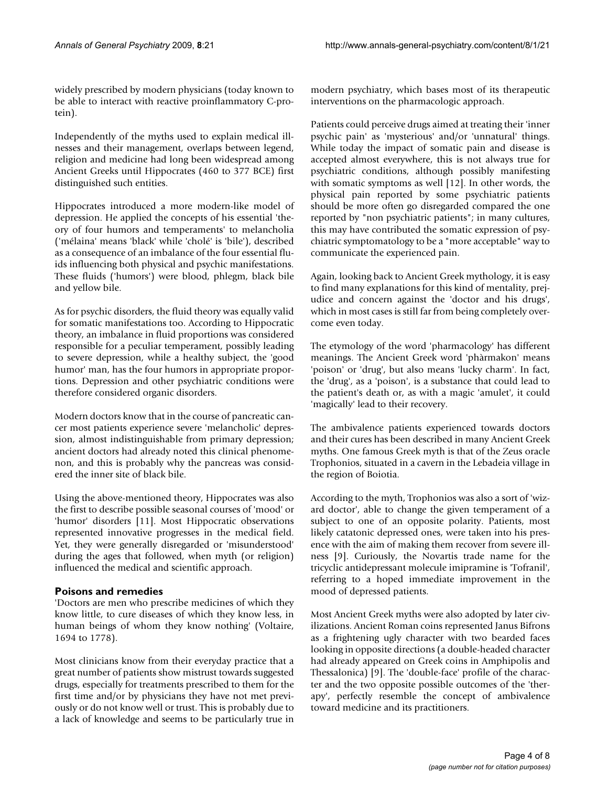widely prescribed by modern physicians (today known to be able to interact with reactive proinflammatory C-protein).

Independently of the myths used to explain medical illnesses and their management, overlaps between legend, religion and medicine had long been widespread among Ancient Greeks until Hippocrates (460 to 377 BCE) first distinguished such entities.

Hippocrates introduced a more modern-like model of depression. He applied the concepts of his essential 'theory of four humors and temperaments' to melancholia ('mélaina' means 'black' while 'cholé' is 'bile'), described as a consequence of an imbalance of the four essential fluids influencing both physical and psychic manifestations. These fluids ('humors') were blood, phlegm, black bile and yellow bile.

As for psychic disorders, the fluid theory was equally valid for somatic manifestations too. According to Hippocratic theory, an imbalance in fluid proportions was considered responsible for a peculiar temperament, possibly leading to severe depression, while a healthy subject, the 'good humor' man, has the four humors in appropriate proportions. Depression and other psychiatric conditions were therefore considered organic disorders.

Modern doctors know that in the course of pancreatic cancer most patients experience severe 'melancholic' depression, almost indistinguishable from primary depression; ancient doctors had already noted this clinical phenomenon, and this is probably why the pancreas was considered the inner site of black bile.

Using the above-mentioned theory, Hippocrates was also the first to describe possible seasonal courses of 'mood' or 'humor' disorders [11]. Most Hippocratic observations represented innovative progresses in the medical field. Yet, they were generally disregarded or 'misunderstood' during the ages that followed, when myth (or religion) influenced the medical and scientific approach.

#### **Poisons and remedies**

'Doctors are men who prescribe medicines of which they know little, to cure diseases of which they know less, in human beings of whom they know nothing' (Voltaire, 1694 to 1778).

Most clinicians know from their everyday practice that a great number of patients show mistrust towards suggested drugs, especially for treatments prescribed to them for the first time and/or by physicians they have not met previously or do not know well or trust. This is probably due to a lack of knowledge and seems to be particularly true in modern psychiatry, which bases most of its therapeutic interventions on the pharmacologic approach.

Patients could perceive drugs aimed at treating their 'inner psychic pain' as 'mysterious' and/or 'unnatural' things. While today the impact of somatic pain and disease is accepted almost everywhere, this is not always true for psychiatric conditions, although possibly manifesting with somatic symptoms as well [12]. In other words, the physical pain reported by some psychiatric patients should be more often go disregarded compared the one reported by "non psychiatric patients"; in many cultures, this may have contributed the somatic expression of psychiatric symptomatology to be a "more acceptable" way to communicate the experienced pain.

Again, looking back to Ancient Greek mythology, it is easy to find many explanations for this kind of mentality, prejudice and concern against the 'doctor and his drugs', which in most cases is still far from being completely overcome even today.

The etymology of the word 'pharmacology' has different meanings. The Ancient Greek word 'phàrmakon' means 'poison' or 'drug', but also means 'lucky charm'. In fact, the 'drug', as a 'poison', is a substance that could lead to the patient's death or, as with a magic 'amulet', it could 'magically' lead to their recovery.

The ambivalence patients experienced towards doctors and their cures has been described in many Ancient Greek myths. One famous Greek myth is that of the Zeus oracle Trophonios, situated in a cavern in the Lebadeia village in the region of Boiotia.

According to the myth, Trophonios was also a sort of 'wizard doctor', able to change the given temperament of a subject to one of an opposite polarity. Patients, most likely catatonic depressed ones, were taken into his presence with the aim of making them recover from severe illness [9]. Curiously, the Novartis trade name for the tricyclic antidepressant molecule imipramine is 'Tofranil', referring to a hoped immediate improvement in the mood of depressed patients.

Most Ancient Greek myths were also adopted by later civilizations. Ancient Roman coins represented Janus Bifrons as a frightening ugly character with two bearded faces looking in opposite directions (a double-headed character had already appeared on Greek coins in Amphipolis and Thessalonica) [9]. The 'double-face' profile of the character and the two opposite possible outcomes of the 'therapy', perfectly resemble the concept of ambivalence toward medicine and its practitioners.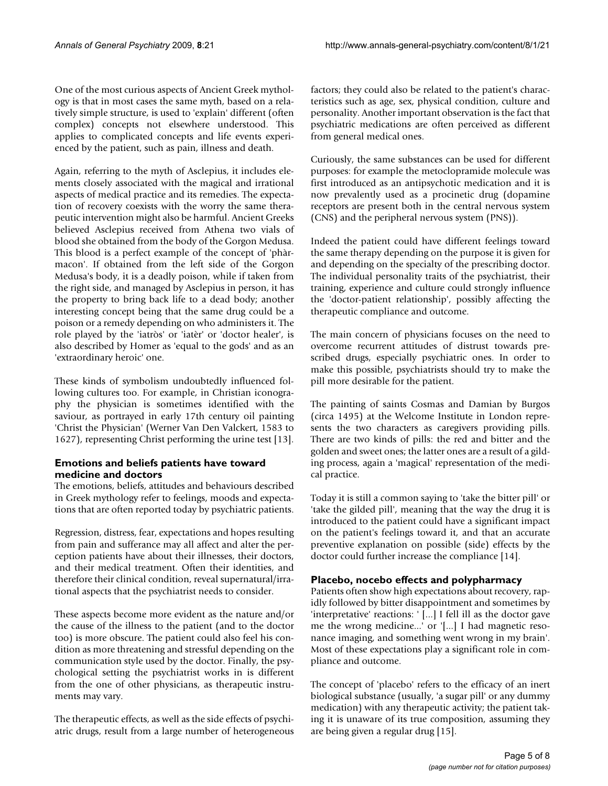One of the most curious aspects of Ancient Greek mythology is that in most cases the same myth, based on a relatively simple structure, is used to 'explain' different (often complex) concepts not elsewhere understood. This applies to complicated concepts and life events experienced by the patient, such as pain, illness and death.

Again, referring to the myth of Asclepius, it includes elements closely associated with the magical and irrational aspects of medical practice and its remedies. The expectation of recovery coexists with the worry the same therapeutic intervention might also be harmful. Ancient Greeks believed Asclepius received from Athena two vials of blood she obtained from the body of the Gorgon Medusa. This blood is a perfect example of the concept of 'phàrmacon'. If obtained from the left side of the Gorgon Medusa's body, it is a deadly poison, while if taken from the right side, and managed by Asclepius in person, it has the property to bring back life to a dead body; another interesting concept being that the same drug could be a poison or a remedy depending on who administers it. The role played by the 'iatròs' or 'iatèr' or 'doctor healer', is also described by Homer as 'equal to the gods' and as an 'extraordinary heroic' one.

These kinds of symbolism undoubtedly influenced following cultures too. For example, in Christian iconography the physician is sometimes identified with the saviour, as portrayed in early 17th century oil painting 'Christ the Physician' (Werner Van Den Valckert, 1583 to 1627), representing Christ performing the urine test [13].

#### **Emotions and beliefs patients have toward medicine and doctors**

The emotions, beliefs, attitudes and behaviours described in Greek mythology refer to feelings, moods and expectations that are often reported today by psychiatric patients.

Regression, distress, fear, expectations and hopes resulting from pain and sufferance may all affect and alter the perception patients have about their illnesses, their doctors, and their medical treatment. Often their identities, and therefore their clinical condition, reveal supernatural/irrational aspects that the psychiatrist needs to consider.

These aspects become more evident as the nature and/or the cause of the illness to the patient (and to the doctor too) is more obscure. The patient could also feel his condition as more threatening and stressful depending on the communication style used by the doctor. Finally, the psychological setting the psychiatrist works in is different from the one of other physicians, as therapeutic instruments may vary.

The therapeutic effects, as well as the side effects of psychiatric drugs, result from a large number of heterogeneous factors; they could also be related to the patient's characteristics such as age, sex, physical condition, culture and personality. Another important observation is the fact that psychiatric medications are often perceived as different from general medical ones.

Curiously, the same substances can be used for different purposes: for example the metoclopramide molecule was first introduced as an antipsychotic medication and it is now prevalently used as a procinetic drug (dopamine receptors are present both in the central nervous system (CNS) and the peripheral nervous system (PNS)).

Indeed the patient could have different feelings toward the same therapy depending on the purpose it is given for and depending on the specialty of the prescribing doctor. The individual personality traits of the psychiatrist, their training, experience and culture could strongly influence the 'doctor-patient relationship', possibly affecting the therapeutic compliance and outcome.

The main concern of physicians focuses on the need to overcome recurrent attitudes of distrust towards prescribed drugs, especially psychiatric ones. In order to make this possible, psychiatrists should try to make the pill more desirable for the patient.

The painting of saints Cosmas and Damian by Burgos (circa 1495) at the Welcome Institute in London represents the two characters as caregivers providing pills. There are two kinds of pills: the red and bitter and the golden and sweet ones; the latter ones are a result of a gilding process, again a 'magical' representation of the medical practice.

Today it is still a common saying to 'take the bitter pill' or 'take the gilded pill', meaning that the way the drug it is introduced to the patient could have a significant impact on the patient's feelings toward it, and that an accurate preventive explanation on possible (side) effects by the doctor could further increase the compliance [14].

#### **Placebo, nocebo effects and polypharmacy**

Patients often show high expectations about recovery, rapidly followed by bitter disappointment and sometimes by 'interpretative' reactions: ' [...] I fell ill as the doctor gave me the wrong medicine...' or '[...] I had magnetic resonance imaging, and something went wrong in my brain'. Most of these expectations play a significant role in compliance and outcome.

The concept of 'placebo' refers to the efficacy of an inert biological substance (usually, 'a sugar pill' or any dummy medication) with any therapeutic activity; the patient taking it is unaware of its true composition, assuming they are being given a regular drug [15].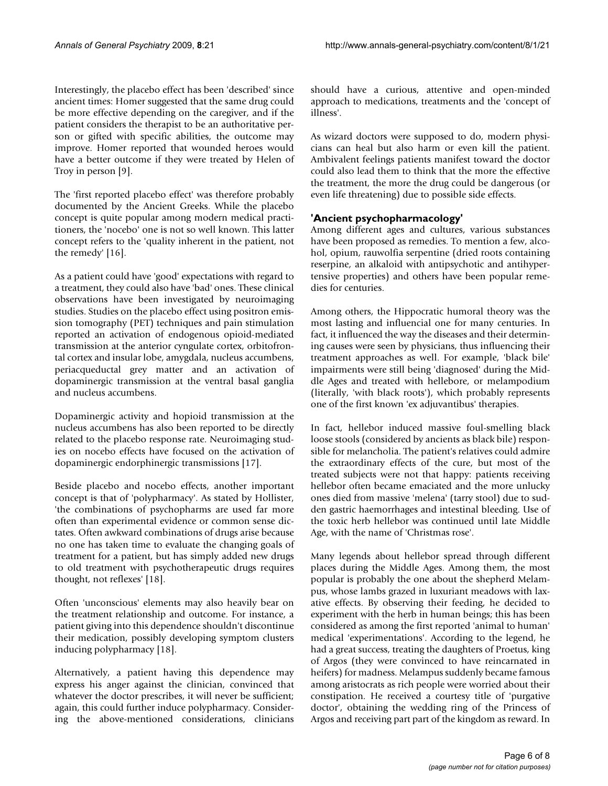Interestingly, the placebo effect has been 'described' since ancient times: Homer suggested that the same drug could be more effective depending on the caregiver, and if the patient considers the therapist to be an authoritative person or gifted with specific abilities, the outcome may improve. Homer reported that wounded heroes would have a better outcome if they were treated by Helen of Troy in person [9].

The 'first reported placebo effect' was therefore probably documented by the Ancient Greeks. While the placebo concept is quite popular among modern medical practitioners, the 'nocebo' one is not so well known. This latter concept refers to the 'quality inherent in the patient, not the remedy' [16].

As a patient could have 'good' expectations with regard to a treatment, they could also have 'bad' ones. These clinical observations have been investigated by neuroimaging studies. Studies on the placebo effect using positron emission tomography (PET) techniques and pain stimulation reported an activation of endogenous opioid-mediated transmission at the anterior cyngulate cortex, orbitofrontal cortex and insular lobe, amygdala, nucleus accumbens, periacqueductal grey matter and an activation of dopaminergic transmission at the ventral basal ganglia and nucleus accumbens.

Dopaminergic activity and hopioid transmission at the nucleus accumbens has also been reported to be directly related to the placebo response rate. Neuroimaging studies on nocebo effects have focused on the activation of dopaminergic endorphinergic transmissions [17].

Beside placebo and nocebo effects, another important concept is that of 'polypharmacy'. As stated by Hollister, 'the combinations of psychopharms are used far more often than experimental evidence or common sense dictates. Often awkward combinations of drugs arise because no one has taken time to evaluate the changing goals of treatment for a patient, but has simply added new drugs to old treatment with psychotherapeutic drugs requires thought, not reflexes' [18].

Often 'unconscious' elements may also heavily bear on the treatment relationship and outcome. For instance, a patient giving into this dependence shouldn't discontinue their medication, possibly developing symptom clusters inducing polypharmacy [18].

Alternatively, a patient having this dependence may express his anger against the clinician, convinced that whatever the doctor prescribes, it will never be sufficient; again, this could further induce polypharmacy. Considering the above-mentioned considerations, clinicians should have a curious, attentive and open-minded approach to medications, treatments and the 'concept of illness'.

As wizard doctors were supposed to do, modern physicians can heal but also harm or even kill the patient. Ambivalent feelings patients manifest toward the doctor could also lead them to think that the more the effective the treatment, the more the drug could be dangerous (or even life threatening) due to possible side effects.

#### **'Ancient psychopharmacology'**

Among different ages and cultures, various substances have been proposed as remedies. To mention a few, alcohol, opium, rauwolfia serpentine (dried roots containing reserpine, an alkaloid with antipsychotic and antihypertensive properties) and others have been popular remedies for centuries.

Among others, the Hippocratic humoral theory was the most lasting and influencial one for many centuries. In fact, it influenced the way the diseases and their determining causes were seen by physicians, thus influencing their treatment approaches as well. For example, 'black bile' impairments were still being 'diagnosed' during the Middle Ages and treated with hellebore, or melampodium (literally, 'with black roots'), which probably represents one of the first known 'ex adjuvantibus' therapies.

In fact, hellebor induced massive foul-smelling black loose stools (considered by ancients as black bile) responsible for melancholia. The patient's relatives could admire the extraordinary effects of the cure, but most of the treated subjects were not that happy: patients receiving hellebor often became emaciated and the more unlucky ones died from massive 'melena' (tarry stool) due to sudden gastric haemorrhages and intestinal bleeding. Use of the toxic herb hellebor was continued until late Middle Age, with the name of 'Christmas rose'.

Many legends about hellebor spread through different places during the Middle Ages. Among them, the most popular is probably the one about the shepherd Melampus, whose lambs grazed in luxuriant meadows with laxative effects. By observing their feeding, he decided to experiment with the herb in human beings; this has been considered as among the first reported 'animal to human' medical 'experimentations'. According to the legend, he had a great success, treating the daughters of Proetus, king of Argos (they were convinced to have reincarnated in heifers) for madness. Melampus suddenly became famous among aristocrats as rich people were worried about their constipation. He received a courtesy title of 'purgative doctor', obtaining the wedding ring of the Princess of Argos and receiving part part of the kingdom as reward. In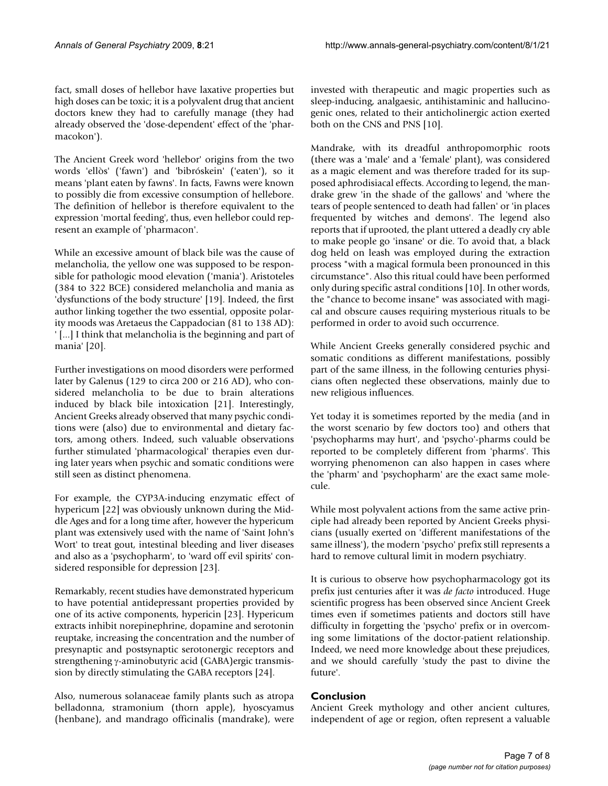fact, small doses of hellebor have laxative properties but high doses can be toxic; it is a polyvalent drug that ancient doctors knew they had to carefully manage (they had already observed the 'dose-dependent' effect of the 'pharmacokon').

The Ancient Greek word 'hellebor' origins from the two words 'ellòs' ('fawn') and 'bibróskein' ('eaten'), so it means 'plant eaten by fawns'. In facts, Fawns were known to possibly die from excessive consumption of hellebore. The definition of hellebor is therefore equivalent to the expression 'mortal feeding', thus, even hellebor could represent an example of 'pharmacon'.

While an excessive amount of black bile was the cause of melancholia, the yellow one was supposed to be responsible for pathologic mood elevation ('mania'). Aristoteles (384 to 322 BCE) considered melancholia and mania as 'dysfunctions of the body structure' [19]. Indeed, the first author linking together the two essential, opposite polarity moods was Aretaeus the Cappadocian (81 to 138 AD): ' [...] I think that melancholia is the beginning and part of mania' [20].

Further investigations on mood disorders were performed later by Galenus (129 to circa 200 or 216 AD), who considered melancholia to be due to brain alterations induced by black bile intoxication [21]. Interestingly, Ancient Greeks already observed that many psychic conditions were (also) due to environmental and dietary factors, among others. Indeed, such valuable observations further stimulated 'pharmacological' therapies even during later years when psychic and somatic conditions were still seen as distinct phenomena.

For example, the CYP3A-inducing enzymatic effect of hypericum [22] was obviously unknown during the Middle Ages and for a long time after, however the hypericum plant was extensively used with the name of 'Saint John's Wort' to treat gout, intestinal bleeding and liver diseases and also as a 'psychopharm', to 'ward off evil spirits' considered responsible for depression [23].

Remarkably, recent studies have demonstrated hypericum to have potential antidepressant properties provided by one of its active components, hypericin [23]. Hypericum extracts inhibit norepinephrine, dopamine and serotonin reuptake, increasing the concentration and the number of presynaptic and postsynaptic serotonergic receptors and strengthening γ-aminobutyric acid (GABA)ergic transmission by directly stimulating the GABA receptors [24].

Also, numerous solanaceae family plants such as atropa belladonna, stramonium (thorn apple), hyoscyamus (henbane), and mandrago officinalis (mandrake), were invested with therapeutic and magic properties such as sleep-inducing, analgaesic, antihistaminic and hallucinogenic ones, related to their anticholinergic action exerted both on the CNS and PNS [10].

Mandrake, with its dreadful anthropomorphic roots (there was a 'male' and a 'female' plant), was considered as a magic element and was therefore traded for its supposed aphrodisiacal effects. According to legend, the mandrake grew 'in the shade of the gallows' and 'where the tears of people sentenced to death had fallen' or 'in places frequented by witches and demons'. The legend also reports that if uprooted, the plant uttered a deadly cry able to make people go 'insane' or die. To avoid that, a black dog held on leash was employed during the extraction process "with a magical formula been pronounced in this circumstance". Also this ritual could have been performed only during specific astral conditions [10]. In other words, the "chance to become insane" was associated with magical and obscure causes requiring mysterious rituals to be performed in order to avoid such occurrence.

While Ancient Greeks generally considered psychic and somatic conditions as different manifestations, possibly part of the same illness, in the following centuries physicians often neglected these observations, mainly due to new religious influences.

Yet today it is sometimes reported by the media (and in the worst scenario by few doctors too) and others that 'psychopharms may hurt', and 'psycho'-pharms could be reported to be completely different from 'pharms'. This worrying phenomenon can also happen in cases where the 'pharm' and 'psychopharm' are the exact same molecule.

While most polyvalent actions from the same active principle had already been reported by Ancient Greeks physicians (usually exerted on 'different manifestations of the same illness'), the modern 'psycho' prefix still represents a hard to remove cultural limit in modern psychiatry.

It is curious to observe how psychopharmacology got its prefix just centuries after it was *de facto* introduced. Huge scientific progress has been observed since Ancient Greek times even if sometimes patients and doctors still have difficulty in forgetting the 'psycho' prefix or in overcoming some limitations of the doctor-patient relationship. Indeed, we need more knowledge about these prejudices, and we should carefully 'study the past to divine the future'.

#### **Conclusion**

Ancient Greek mythology and other ancient cultures, independent of age or region, often represent a valuable